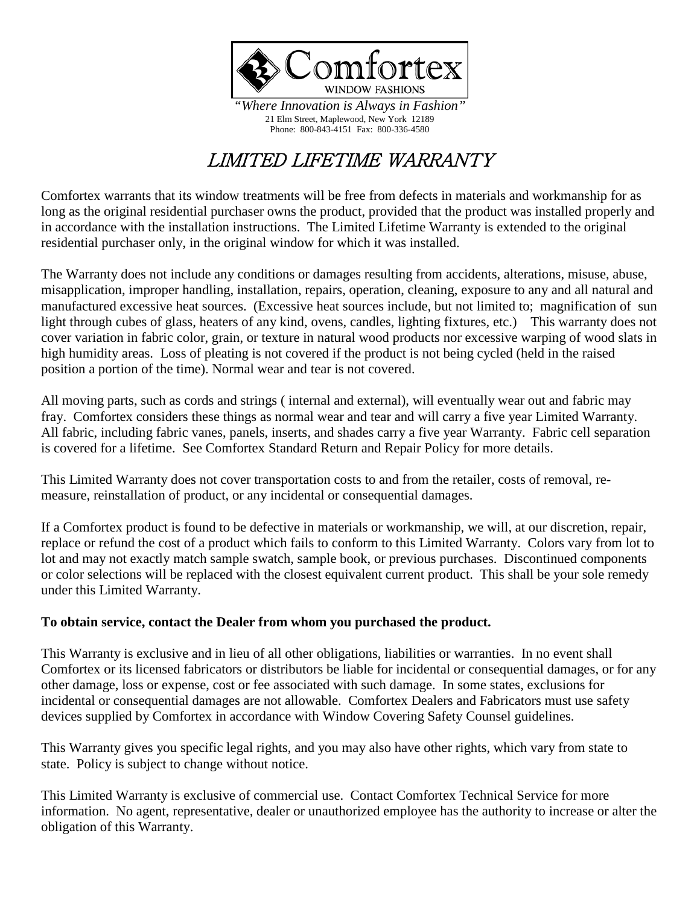

*"Where Innovation is Always in Fashion"* 21 Elm Street, Maplewood, New York 12189 Phone: 800-843-4151 Fax: 800-336-4580

## LIMITED LIFETIME WARRANTY

Comfortex warrants that its window treatments will be free from defects in materials and workmanship for as long as the original residential purchaser owns the product, provided that the product was installed properly and in accordance with the installation instructions. The Limited Lifetime Warranty is extended to the original residential purchaser only, in the original window for which it was installed.

The Warranty does not include any conditions or damages resulting from accidents, alterations, misuse, abuse, misapplication, improper handling, installation, repairs, operation, cleaning, exposure to any and all natural and manufactured excessive heat sources. (Excessive heat sources include, but not limited to; magnification of sun light through cubes of glass, heaters of any kind, ovens, candles, lighting fixtures, etc.) This warranty does not cover variation in fabric color, grain, or texture in natural wood products nor excessive warping of wood slats in high humidity areas. Loss of pleating is not covered if the product is not being cycled (held in the raised position a portion of the time). Normal wear and tear is not covered.

All moving parts, such as cords and strings ( internal and external), will eventually wear out and fabric may fray. Comfortex considers these things as normal wear and tear and will carry a five year Limited Warranty. All fabric, including fabric vanes, panels, inserts, and shades carry a five year Warranty. Fabric cell separation is covered for a lifetime. See Comfortex Standard Return and Repair Policy for more details.

This Limited Warranty does not cover transportation costs to and from the retailer, costs of removal, remeasure, reinstallation of product, or any incidental or consequential damages.

If a Comfortex product is found to be defective in materials or workmanship, we will, at our discretion, repair, replace or refund the cost of a product which fails to conform to this Limited Warranty. Colors vary from lot to lot and may not exactly match sample swatch, sample book, or previous purchases. Discontinued components or color selections will be replaced with the closest equivalent current product. This shall be your sole remedy under this Limited Warranty.

## **To obtain service, contact the Dealer from whom you purchased the product.**

This Warranty is exclusive and in lieu of all other obligations, liabilities or warranties. In no event shall Comfortex or its licensed fabricators or distributors be liable for incidental or consequential damages, or for any other damage, loss or expense, cost or fee associated with such damage. In some states, exclusions for incidental or consequential damages are not allowable. Comfortex Dealers and Fabricators must use safety devices supplied by Comfortex in accordance with Window Covering Safety Counsel guidelines.

This Warranty gives you specific legal rights, and you may also have other rights, which vary from state to state. Policy is subject to change without notice.

This Limited Warranty is exclusive of commercial use. Contact Comfortex Technical Service for more information. No agent, representative, dealer or unauthorized employee has the authority to increase or alter the obligation of this Warranty.